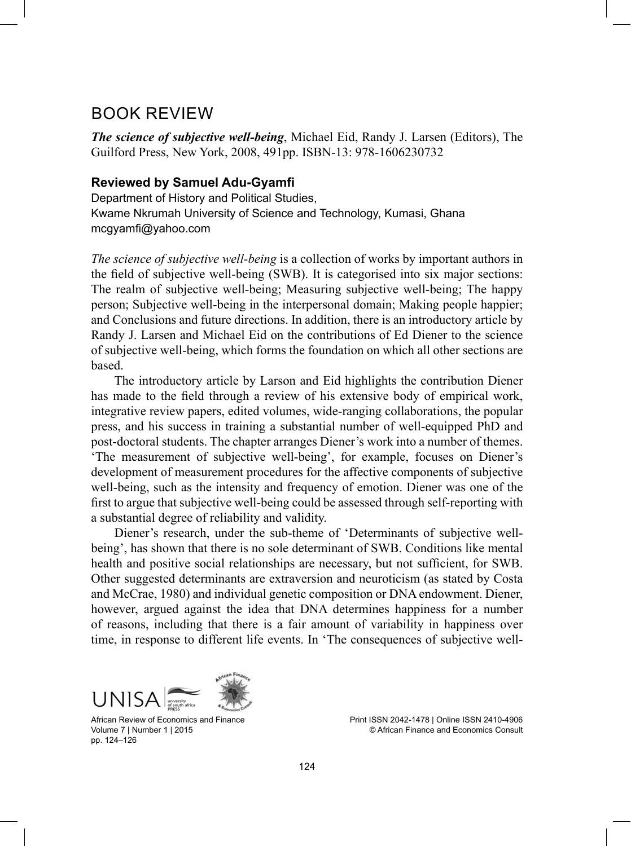## BOOK REVIEW

*The science of subjective well-being*, Michael Eid, Randy J. Larsen (Editors), The Guilford Press, New York, 2008, 491pp. ISBN-13: 978-1606230732

## **Reviewed by Samuel Adu-Gyamfi**

Department of History and Political Studies, Kwame Nkrumah University of Science and Technology, Kumasi, Ghana mcgyamfi@yahoo.com

*The science of subjective well-being* is a collection of works by important authors in the field of subjective well-being (SWB). It is categorised into six major sections: The realm of subjective well-being; Measuring subjective well-being; The happy person; Subjective well-being in the interpersonal domain; Making people happier; and Conclusions and future directions. In addition, there is an introductory article by Randy J. Larsen and Michael Eid on the contributions of Ed Diener to the science of subjective well-being, which forms the foundation on which all other sections are based.

The introductory article by Larson and Eid highlights the contribution Diener has made to the field through a review of his extensive body of empirical work, integrative review papers, edited volumes, wide-ranging collaborations, the popular press, and his success in training a substantial number of well-equipped PhD and post-doctoral students. The chapter arranges Diener's work into a number of themes. 'The measurement of subjective well-being', for example, focuses on Diener's development of measurement procedures for the affective components of subjective well-being, such as the intensity and frequency of emotion. Diener was one of the first to argue that subjective well-being could be assessed through self-reporting with a substantial degree of reliability and validity.

Diener's research, under the sub-theme of 'Determinants of subjective wellbeing', has shown that there is no sole determinant of SWB. Conditions like mental health and positive social relationships are necessary, but not sufficient, for SWB. Other suggested determinants are extraversion and neuroticism (as stated by Costa and McCrae, 1980) and individual genetic composition or DNA endowment. Diener, however, argued against the idea that DNA determines happiness for a number of reasons, including that there is a fair amount of variability in happiness over time, in response to different life events. In 'The consequences of subjective well-



African Review of Economics and Finance Volume 7 | Number 1 | 2015 pp. 124–126

Print ISSN 2042-1478 | Online ISSN 2410-4906 © African Finance and Economics Consult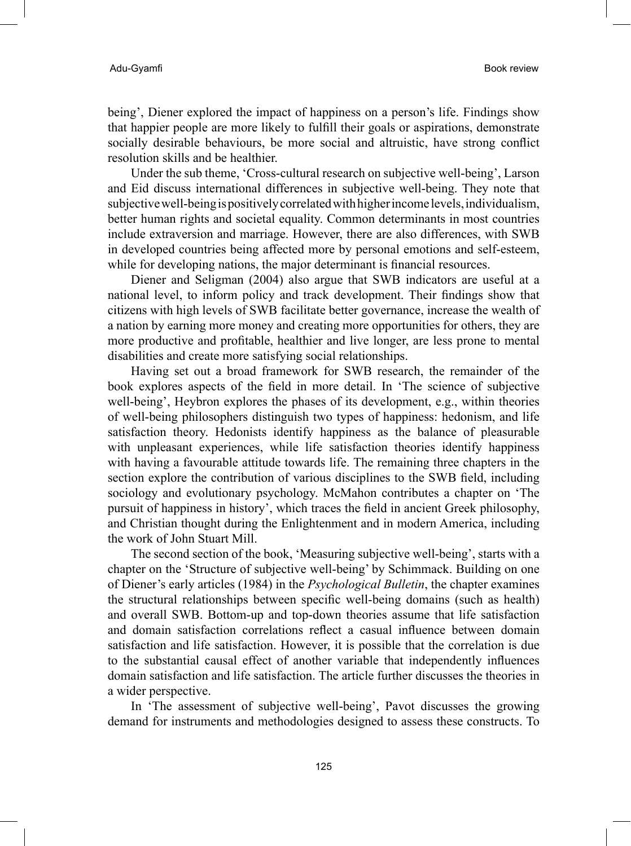being', Diener explored the impact of happiness on a person's life. Findings show that happier people are more likely to fulfill their goals or aspirations, demonstrate socially desirable behaviours, be more social and altruistic, have strong conflict resolution skills and be healthier.

Under the sub theme, 'Cross-cultural research on subjective well-being', Larson and Eid discuss international differences in subjective well-being. They note that subjective well-being is positively correlated with higher income levels, individualism, better human rights and societal equality. Common determinants in most countries include extraversion and marriage. However, there are also differences, with SWB in developed countries being affected more by personal emotions and self-esteem, while for developing nations, the major determinant is financial resources.

Diener and Seligman (2004) also argue that SWB indicators are useful at a national level, to inform policy and track development. Their findings show that citizens with high levels of SWB facilitate better governance, increase the wealth of a nation by earning more money and creating more opportunities for others, they are more productive and profitable, healthier and live longer, are less prone to mental disabilities and create more satisfying social relationships.

Having set out a broad framework for SWB research, the remainder of the book explores aspects of the field in more detail. In 'The science of subjective well-being', Heybron explores the phases of its development, e.g., within theories of well-being philosophers distinguish two types of happiness: hedonism, and life satisfaction theory. Hedonists identify happiness as the balance of pleasurable with unpleasant experiences, while life satisfaction theories identify happiness with having a favourable attitude towards life. The remaining three chapters in the section explore the contribution of various disciplines to the SWB field, including sociology and evolutionary psychology. McMahon contributes a chapter on 'The pursuit of happiness in history', which traces the field in ancient Greek philosophy, and Christian thought during the Enlightenment and in modern America, including the work of John Stuart Mill.

The second section of the book, 'Measuring subjective well-being', starts with a chapter on the 'Structure of subjective well-being' by Schimmack. Building on one of Diener's early articles (1984) in the *Psychological Bulletin*, the chapter examines the structural relationships between specific well-being domains (such as health) and overall SWB. Bottom-up and top-down theories assume that life satisfaction and domain satisfaction correlations reflect a casual influence between domain satisfaction and life satisfaction. However, it is possible that the correlation is due to the substantial causal effect of another variable that independently influences domain satisfaction and life satisfaction. The article further discusses the theories in a wider perspective.

In 'The assessment of subjective well-being', Pavot discusses the growing demand for instruments and methodologies designed to assess these constructs. To